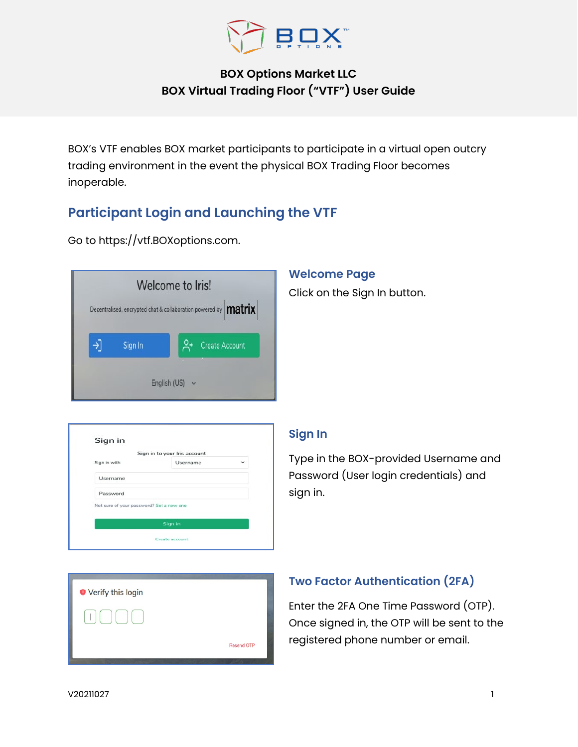

# **BOX Options Market LLC BOX Virtual Trading Floor ("VTF") User Guide**

BOX's VTF enables BOX market participants to participate in a virtual open outcry trading environment in the event the physical BOX Trading Floor becomes inoperable.

# **Participant Login and Launching the VTF**

Go to [https://vtf.BOXoptions.com.](https://protect-us.mimecast.com/s/1zymCW6woZh0w1Nu6Lj4i?domain=vtf.boxoptions.com)

|         | Decentralised, encrypted chat & collaboration powered by <b>matrix</b> |
|---------|------------------------------------------------------------------------|
|         |                                                                        |
| Sign In | <b>Create Account</b>                                                  |
|         |                                                                        |

### **Welcome Page**

Click on the Sign In button.

| Sign in                                  |                              |   |
|------------------------------------------|------------------------------|---|
|                                          | Sign in to your Iris account |   |
| Sign in with                             | Username                     | v |
| Username                                 |                              |   |
| Password                                 |                              |   |
| Not sure of your password? Set a new one |                              |   |
|                                          |                              |   |
|                                          | Sign in                      |   |

### **Sign In**

Type in the BOX-provided Username and Password (User login credentials) and sign in.



# **Two Factor Authentication (2FA)**

Enter the 2FA One Time Password (OTP). Once signed in, the OTP will be sent to the registered phone number or email.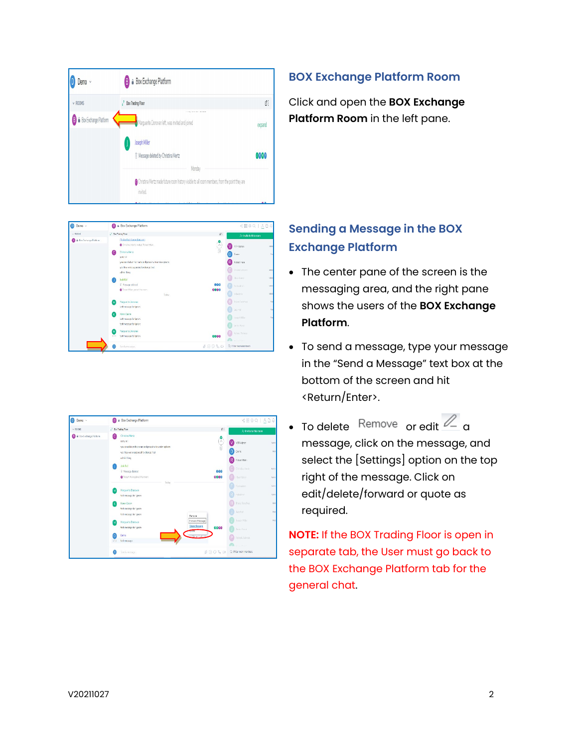



### **BOX Exchange Platform Room**

Click and open the **BOX Exchange Platform Room** in the left pane.

# **Sending a Message in the BOX Exchange Platform**

- The center pane of the screen is the messaging area, and the right pane shows the users of the **BOX Exchange Platform**.
- To send a message, type your message in the "Send a Message" text box at the bottom of the screen and hit <Return/Enter>.
- To delete Remove or edit  $\ell$  a message, click on the message, and select the [Settings] option on the top right of the message. Click on edit/delete/forward or quote as required.

**NOTE:** If the BOX Trading Floor is open in separate tab, the User must go back to the BOX Exchange Platform tab for the general chat.

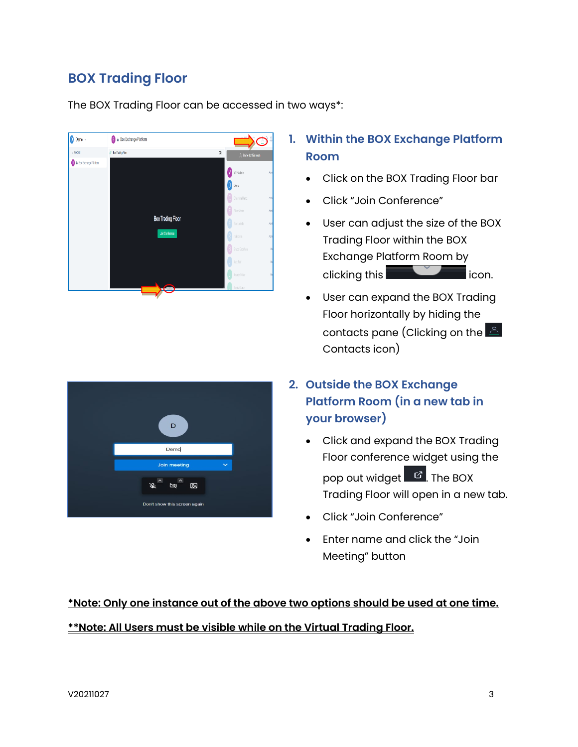# **BOX Trading Floor**

The BOX Trading Floor can be accessed in two ways\*:





## **1. Within the BOX Exchange Platform Room**

- Click on the BOX Trading Floor bar
- Click "Join Conference"
- User can adjust the size of the BOX Trading Floor within the BOX Exchange Platform Room by clicking this **in the click of the click** icon.
- User can expand the BOX Trading Floor horizontally by hiding the contacts pane (Clicking on the  $\triangleq$ Contacts icon)
- **2. Outside the BOX Exchange Platform Room (in a new tab in your browser)** 
	- Click and expand the BOX Trading Floor conference widget using the pop out widget  $\boxed{c}$ . The BOX Trading Floor will open in a new tab.
	- Click "Join Conference"
	- Enter name and click the "Join Meeting" button

## **\*Note: Only one instance out of the above two options should be used at one time.**

#### **\*\*Note: All Users must be visible while on the Virtual Trading Floor.**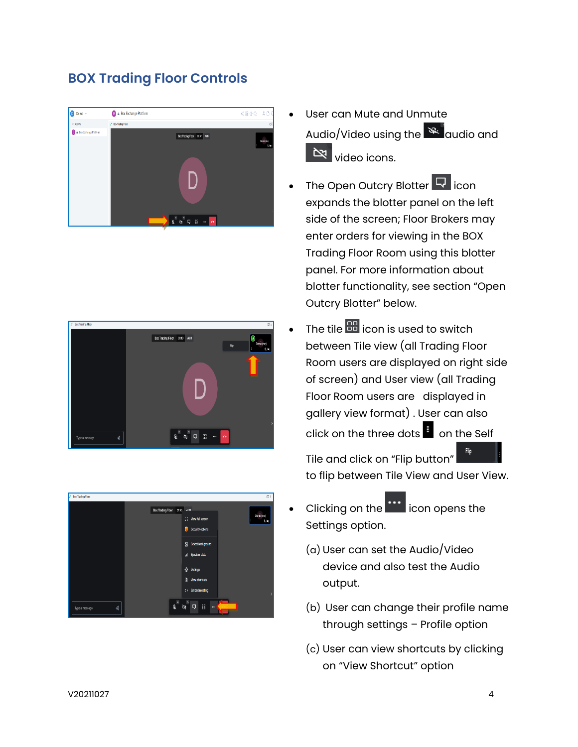# **BOX Trading Floor Controls**







- User can Mute and Unmute Audio/Video using the **a**udio and **N** video icons.
- The Open Outcry Blotter **Q** icon expands the blotter panel on the left side of the screen; Floor Brokers may enter orders for viewing in the BOX Trading Floor Room using this blotter panel. For more information about blotter functionality, see section "Open Outcry Blotter" below.
- $\bullet$  The tile  $\overline{55}$  icon is used to switch between Tile view (all Trading Floor Room users are displayed on right side of screen) and User view (all Trading Floor Room users are displayed in gallery view format) . User can also click on the three dots  $\frac{1}{3}$  on the Self

Tile and click on "Flip button" to flip between Tile View and User View.

- Clicking on the **interelate is condensated** Clicking on the Settings option.
	- (a) User can set the Audio/Video device and also test the Audio output.
	- (b) User can change their profile name through settings – Profile option
	- (c) User can view shortcuts by clicking on "View Shortcut" option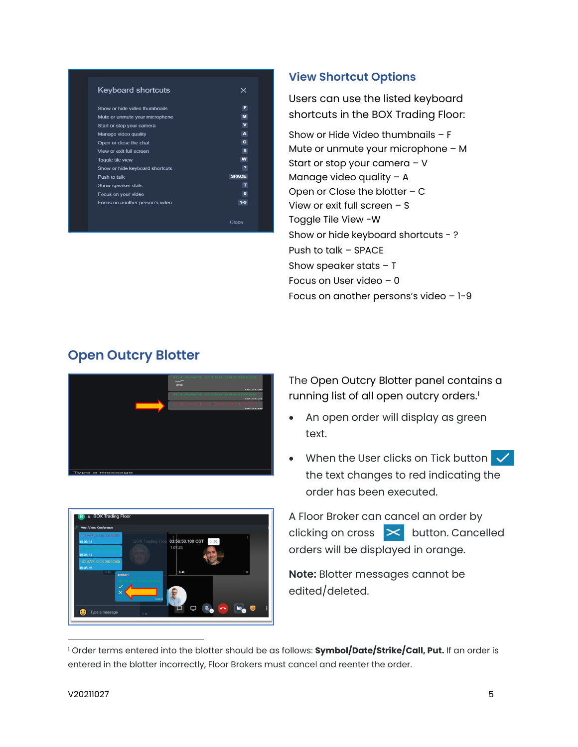| F            |
|--------------|
| M            |
| v            |
| A            |
| $\mathbf{C}$ |
| s            |
| W            |
| ,            |
| <b>SPACE</b> |
| т            |
| $\Omega$     |
| $1-9$        |
|              |

### **View Shortcut Options**

Users can use the listed keyboard shortcuts in the BOX Trading Floor:

Show or Hide Video thumbnails – F Mute or unmute your microphone – M Start or stop your camera – V Manage video quality – A Open or Close the blotter – C View or exit full screen – S Toggle Tile View -W Show or hide keyboard shortcuts - ? Push to talk – SPACE Show speaker stats  $-$  T Focus on User video – 0 Focus on another persons's video – 1-9

# **Open Outcry Blotter**



:56:50.100 CS

The Open Outcry Blotter panel contains a running list of all open outcry orders. [1](#page-4-0)

- An open order will display as green text.
- When the User clicks on Tick button  $\sqrt{}$ the text changes to red indicating the order has been executed.

A Floor Broker can cancel an order by clicking on cross  $\mathbf{R}$  button. Cancelled orders will be displayed in orange.

**Note:** Blotter messages cannot be edited/deleted.

<span id="page-4-0"></span><sup>1</sup> Order terms entered into the blotter should be as follows: **Symbol/Date/Strike/Call, Put.** If an order is entered in the blotter incorrectly, Floor Brokers must cancel and reenter the order.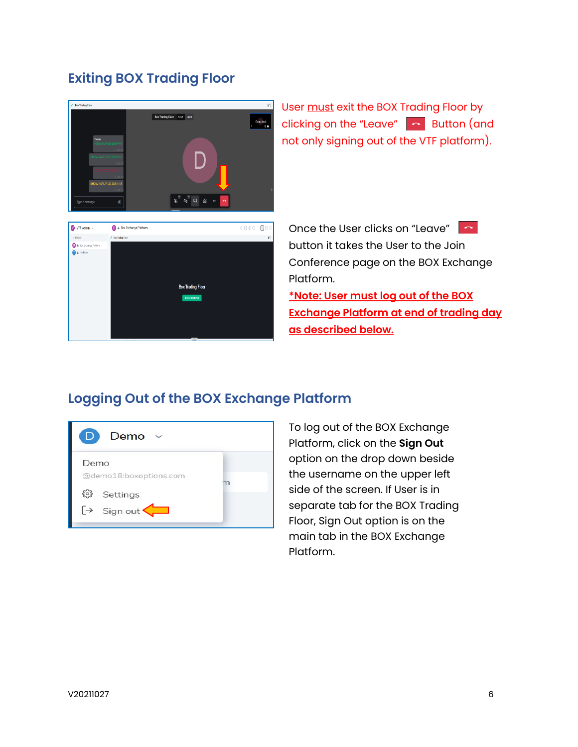## **Exiting BOX Trading Floor**



User must exit the BOX Trading Floor by clicking on the "Leave"  $\sim$  Button (and not only signing out of the VTF platform).

Once the User clicks on "Leave" button it takes the User to the Join Conference page on the BOX Exchange Platform. **\*Note: User must log out of the BOX Exchange Platform at end of trading day** 

**as described below.**

## **Logging Out of the BOX Exchange Platform**



To log out of the BOX Exchange Platform, click on the **Sign Out** option on the drop down beside the username on the upper left side of the screen. If User is in separate tab for the BOX Trading Floor, Sign Out option is on the main tab in the BOX Exchange Platform.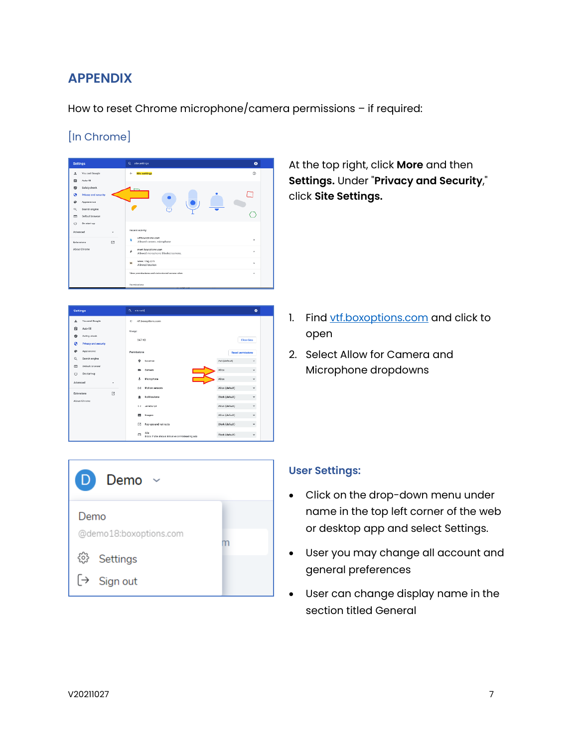## **APPENDIX**

How to reset Chrome microphone/camera permissions – if required:

### [In Chrome]



 $\overline{\phantom{a}}$ .<br>Settings Q stead  $\hat{\mathbf{H}}$   $\mathbf{A}\boldsymbol{\omega}$  if  $\bullet$  - Safety check Clear data .<br>Privacy an  $\ddot{\textbf{e}}$ .<br>Search ang  $\Box$ Defeat: by  $\bigcup$  on station Advanced ø  $\alpha$  a **Et Images** allow (defects) and the control  $\mathbb{E}$  Pop ups and redirects Block (default)  $\sim$  $\Box$  Ada<br>  $\Box$  . Block if also shows intrusive or roles  $\label{eq:block} \text{block}(\text{block}(p) = 1, \ldots, p) = \text{argmax}(\text{sum}(p) = 1, \ldots, p) = \text{argmax}(\text{sum}(p) = 1, \ldots, p) = \text{argmax}(\text{sum}(p) = 1, \ldots, p) = \text{argmax}(\text{sum}(p) = 1, \ldots, p) = \text{argmax}(\text{sum}(p) = 1, \ldots, p) = \text{argmax}(\text{sum}(p) = 1, \ldots, p) = \text{argmax}(\text{max}(p) = 1, \ldots, p) = \text{argmax}(\text{max}(p) = 1, \ldots, p$ 

At the top right, click **More** and then **Settings.** Under "**Privacy and Security**," click **Site Settings.**

- 1. Find [vtf.boxoptions.com](http://www.vtf.boxoptions.com/) and click to open
- 2. Select Allow for Camera and Microphone dropdowns



#### **User Settings:**

- Click on the drop-down menu under name in the top left corner of the web or desktop app and select Settings.
- User you may change all account and general preferences
- User can change display name in the section titled General